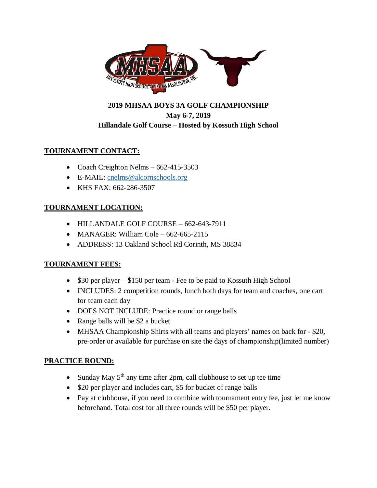

# **2019 MHSAA BOYS 3A GOLF CHAMPIONSHIP May 6-7, 2019 Hillandale Golf Course – Hosted by Kossuth High School**

# **TOURNAMENT CONTACT:**

- Coach Creighton Nelms  $-662-415-3503$
- E-MAIL: [cnelms@alcornschools.org](mailto:cnelms@alcornschools.org)
- KHS FAX: 662-286-3507

### **TOURNAMENT LOCATION:**

- HILLANDALE GOLF COURSE 662-643-7911
- MANAGER: William Cole  $662-665-2115$
- ADDRESS: 13 Oakland School Rd Corinth, MS 38834

#### **TOURNAMENT FEES:**

- $\bullet$  \$30 per player \$150 per team Fee to be paid to Kossuth High School
- INCLUDES: 2 competition rounds, lunch both days for team and coaches, one cart for team each day
- DOES NOT INCLUDE: Practice round or range balls
- Range balls will be \$2 a bucket
- MHSAA Championship Shirts with all teams and players' names on back for \$20, pre-order or available for purchase on site the days of championship(limited number)

# **PRACTICE ROUND:**

- Sunday May  $5<sup>th</sup>$  any time after 2pm, call clubhouse to set up tee time
- \$20 per player and includes cart, \$5 for bucket of range balls
- Pay at clubhouse, if you need to combine with tournament entry fee, just let me know beforehand. Total cost for all three rounds will be \$50 per player.